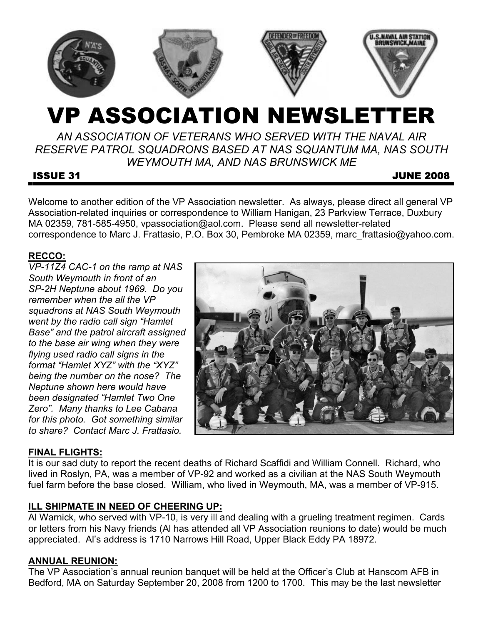

# VP ASSOCIATION NEWSLETTER

*AN ASSOCIATION OF VETERANS WHO SERVED WITH THE NAVAL AIR RESERVE PATROL SQUADRONS BASED AT NAS SQUANTUM MA, NAS SOUTH WEYMOUTH MA, AND NAS BRUNSWICK ME* 

# ISSUE 31 JUNE 2008

Welcome to another edition of the VP Association newsletter. As always, please direct all general VP Association-related inquiries or correspondence to William Hanigan, 23 Parkview Terrace, Duxbury MA 02359, 781-585-4950, vpassociation@aol.com. Please send all newsletter-related correspondence to Marc J. Frattasio, P.O. Box 30, Pembroke MA 02359, marc\_frattasio@yahoo.com.

# **RECCO:**

*VP-11Z4 CAC-1 on the ramp at NAS South Weymouth in front of an SP-2H Neptune about 1969. Do you remember when the all the VP squadrons at NAS South Weymouth went by the radio call sign "Hamlet Base" and the patrol aircraft assigned to the base air wing when they were flying used radio call signs in the format "Hamlet XYZ" with the "XYZ" being the number on the nose? The Neptune shown here would have been designated "Hamlet Two One Zero". Many thanks to Lee Cabana for this photo. Got something similar to share? Contact Marc J. Frattasio.*



# **FINAL FLIGHTS:**

It is our sad duty to report the recent deaths of Richard Scaffidi and William Connell. Richard, who lived in Roslyn, PA, was a member of VP-92 and worked as a civilian at the NAS South Weymouth fuel farm before the base closed. William, who lived in Weymouth, MA, was a member of VP-915.

# **ILL SHIPMATE IN NEED OF CHEERING UP:**

Al Warnick, who served with VP-10, is very ill and dealing with a grueling treatment regimen. Cards or letters from his Navy friends (Al has attended all VP Association reunions to date) would be much appreciated. Al's address is 1710 Narrows Hill Road, Upper Black Eddy PA 18972.

# **ANNUAL REUNION:**

The VP Association's annual reunion banquet will be held at the Officer's Club at Hanscom AFB in Bedford, MA on Saturday September 20, 2008 from 1200 to 1700. This may be the last newsletter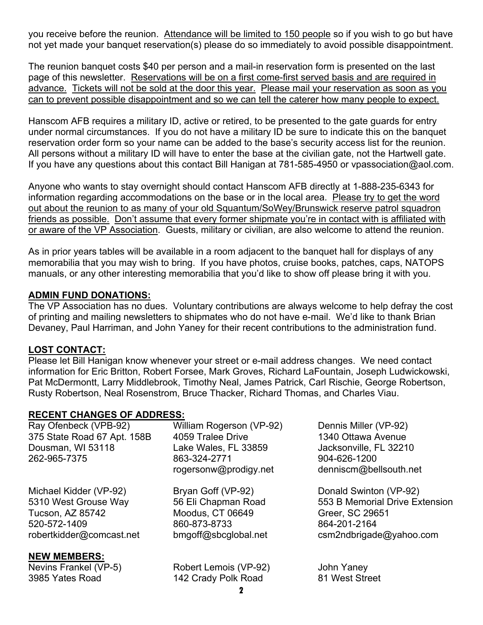you receive before the reunion. Attendance will be limited to 150 people so if you wish to go but have not yet made your banquet reservation(s) please do so immediately to avoid possible disappointment.

The reunion banquet costs \$40 per person and a mail-in reservation form is presented on the last page of this newsletter. Reservations will be on a first come-first served basis and are required in advance. Tickets will not be sold at the door this year. Please mail your reservation as soon as you can to prevent possible disappointment and so we can tell the caterer how many people to expect.

Hanscom AFB requires a military ID, active or retired, to be presented to the gate guards for entry under normal circumstances. If you do not have a military ID be sure to indicate this on the banquet reservation order form so your name can be added to the base's security access list for the reunion. All persons without a military ID will have to enter the base at the civilian gate, not the Hartwell gate. If you have any questions about this contact Bill Hanigan at 781-585-4950 or vpassociation@aol.com.

Anyone who wants to stay overnight should contact Hanscom AFB directly at 1-888-235-6343 for information regarding accommodations on the base or in the local area. Please try to get the word out about the reunion to as many of your old Squantum/SoWey/Brunswick reserve patrol squadron friends as possible. Don't assume that every former shipmate you're in contact with is affiliated with or aware of the VP Association. Guests, military or civilian, are also welcome to attend the reunion.

As in prior years tables will be available in a room adjacent to the banquet hall for displays of any memorabilia that you may wish to bring. If you have photos, cruise books, patches, caps, NATOPS manuals, or any other interesting memorabilia that you'd like to show off please bring it with you.

# **ADMIN FUND DONATIONS:**

The VP Association has no dues. Voluntary contributions are always welcome to help defray the cost of printing and mailing newsletters to shipmates who do not have e-mail. We'd like to thank Brian Devaney, Paul Harriman, and John Yaney for their recent contributions to the administration fund.

# **LOST CONTACT:**

Please let Bill Hanigan know whenever your street or e-mail address changes. We need contact information for Eric Britton, Robert Forsee, Mark Groves, Richard LaFountain, Joseph Ludwickowski, Pat McDermontt, Larry Middlebrook, Timothy Neal, James Patrick, Carl Rischie, George Robertson, Rusty Robertson, Neal Rosenstrom, Bruce Thacker, Richard Thomas, and Charles Viau.

### **RECENT CHANGES OF ADDRESS:**

|                       | Dennis Miller (VP-92)          |
|-----------------------|--------------------------------|
| 4059 Tralee Drive     | 1340 Ottawa Avenue             |
| Lake Wales, FL 33859  | Jacksonville, FL 32210         |
| 863-324-2771          | 904-626-1200                   |
| rogersonw@prodigy.net | denniscm@bellsouth.net         |
| Bryan Goff (VP-92)    | Donald Swinton (VP-92)         |
| 56 Eli Chapman Road   | 553 B Memorial Drive Extension |
| Moodus, CT 06649      | Greer, SC 29651                |
| 860-873-8733          | 864-201-2164                   |
| bmgoff@sbcglobal.net  | csm2ndbrigade@yahoo.com        |
|                       |                                |
| Robert Lemois (VP-92) | John Yaney                     |
| 142 Crady Polk Road   | 81 West Street                 |
|                       | William Rogerson (VP-92)       |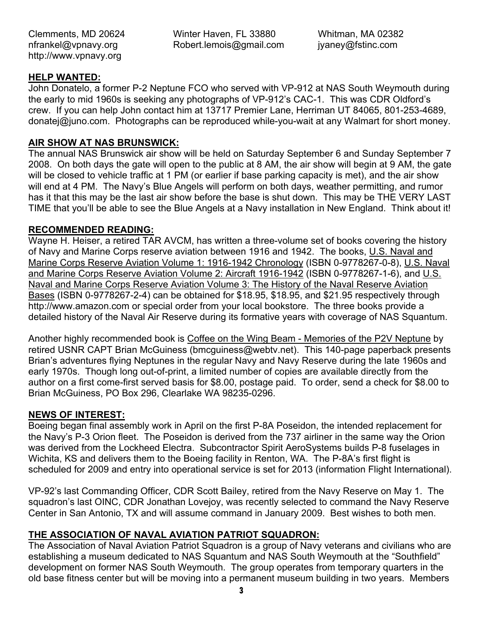Winter Haven, FL 33880 Robert.lemois@gmail.com Whitman, MA 02382 jyaney@fstinc.com

# **HELP WANTED:**

John Donatelo, a former P-2 Neptune FCO who served with VP-912 at NAS South Weymouth during the early to mid 1960s is seeking any photographs of VP-912's CAC-1. This was CDR Oldford's crew. If you can help John contact him at 13717 Premier Lane, Herriman UT 84065, 801-253-4689, donatej@juno.com. Photographs can be reproduced while-you-wait at any Walmart for short money.

# **AIR SHOW AT NAS BRUNSWICK:**

The annual NAS Brunswick air show will be held on Saturday September 6 and Sunday September 7 2008. On both days the gate will open to the public at 8 AM, the air show will begin at 9 AM, the gate will be closed to vehicle traffic at 1 PM (or earlier if base parking capacity is met), and the air show will end at 4 PM. The Navy's Blue Angels will perform on both days, weather permitting, and rumor has it that this may be the last air show before the base is shut down. This may be THE VERY LAST TIME that you'll be able to see the Blue Angels at a Navy installation in New England. Think about it!

# **RECOMMENDED READING:**

Wayne H. Heiser, a retired TAR AVCM, has written a three-volume set of books covering the history of Navy and Marine Corps reserve aviation between 1916 and 1942. The books, U.S. Naval and Marine Corps Reserve Aviation Volume 1: 1916-1942 Chronology (ISBN 0-9778267-0-8), U.S. Naval and Marine Corps Reserve Aviation Volume 2: Aircraft 1916-1942 (ISBN 0-9778267-1-6), and U.S. Naval and Marine Corps Reserve Aviation Volume 3: The History of the Naval Reserve Aviation Bases (ISBN 0-9778267-2-4) can be obtained for \$18.95, \$18.95, and \$21.95 respectively through http://www.amazon.com or special order from your local bookstore. The three books provide a detailed history of the Naval Air Reserve during its formative years with coverage of NAS Squantum.

Another highly recommended book is Coffee on the Wing Beam - Memories of the P2V Neptune by retired USNR CAPT Brian McGuiness (bmcguiness@webtv.net). This 140-page paperback presents Brian's adventures flying Neptunes in the regular Navy and Navy Reserve during the late 1960s and early 1970s. Though long out-of-print, a limited number of copies are available directly from the author on a first come-first served basis for \$8.00, postage paid. To order, send a check for \$8.00 to Brian McGuiness, PO Box 296, Clearlake WA 98235-0296.

### **NEWS OF INTEREST:**

Boeing began final assembly work in April on the first P-8A Poseidon, the intended replacement for the Navy's P-3 Orion fleet. The Poseidon is derived from the 737 airliner in the same way the Orion was derived from the Lockheed Electra. Subcontractor Spirit AeroSystems builds P-8 fuselages in Wichita, KS and delivers them to the Boeing facility in Renton, WA. The P-8A's first flight is scheduled for 2009 and entry into operational service is set for 2013 (information Flight International).

VP-92's last Commanding Officer, CDR Scott Bailey, retired from the Navy Reserve on May 1. The squadron's last OINC, CDR Jonathan Lovejoy, was recently selected to command the Navy Reserve Center in San Antonio, TX and will assume command in January 2009. Best wishes to both men.

# **THE ASSOCIATION OF NAVAL AVIATION PATRIOT SQUADRON:**

The Association of Naval Aviation Patriot Squadron is a group of Navy veterans and civilians who are establishing a museum dedicated to NAS Squantum and NAS South Weymouth at the "Southfield" development on former NAS South Weymouth. The group operates from temporary quarters in the old base fitness center but will be moving into a permanent museum building in two years. Members